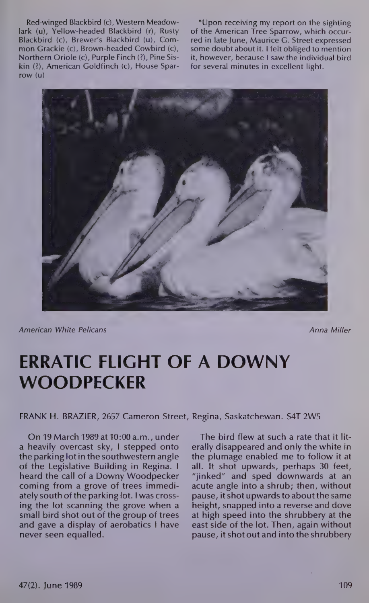Red-winged Blackbird (c), Western Meadowlark (u), Yellow-headed Blackbird (r), Rusty Blackbird (c), Brewer's Blackbird (u), Common Grackle (c), Brown-headed Cowbird (c), Northern Oriole (c), Purple Finch (2), Pine Siskin (2), American Goldfinch (c), House Sparrow (u)

\*Upon receiving my report on the sighting of the American Tree Sparrow, which occurred in late June, Maurice G. Street expressed some doubt about it. I felt obliged to mention it, however, because I saw the individual bird for several minutes in excellent light.



American White Pelicans Anna Miller and Anna Miller and Anna Miller

## ERRATIC FLIGHT OF A DOWNY **WOODPECKER**

FRANK H. BRAZIER, 2657 Cameron Street, Regina, Saskatchewan. S4T 2W5

On 19 March 1989 at 10:00 a.m., under a heavily overcast sky, I stepped onto the parking lotin the southwestern angle of the Legislative Building in Regina. I heard the call of a Downy Woodpecker coming from a grove of trees immediately south of the parking lot. I was crossing the lot scanning the grove when a small bird shot out of the group of trees and gave a display of aerobatics I have never seen equalled.

The bird flew at such a rate that it literally disappeared and only the white in the plumage enabled me to follow it at all. It shot upwards, perhaps 30 feet, "jinked" and sped downwards at an acute angle into a shrub; then, without pause, it shot upwards to about the same height, snapped into a reverse and dove at high speed into the shrubbery at the east side of the lot. Then, again without pause, it shot out and into the shrubbery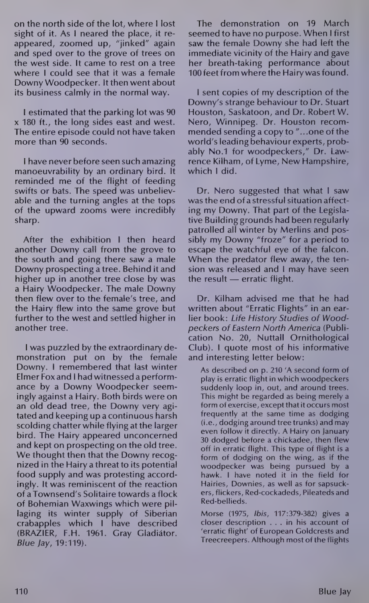on the north side of the lot, where | lost sight of it. As I neared the place, it reappeared, zoomed up, "jinked" again and sped over to the grove of trees on the west side. It came to rest on a tree where I could see that it was a female Downy Woodpecker. It then went about its business calmly in the normal way.

| estimated that the parking lot was 90 x 180 ft., the long sides east and west. The entire episode could not have taken more than 90 seconds.

| have never before seen such amazing manoeuvrability by an ordinary bird. It reminded me of the flight of feeding swifts or bats. The speed was unbelievable and the turning angles at the tops of the upward zooms were incredibly sharp.

After the exhibition I then heard another Downy call from the grove to the south and going there saw a male Downy prospecting a tree. Behind it and higher up in another tree close by was a Hairy Woodpecker. The male Downy then flew over to the female's tree, and the Hairy flew into the same grove but further to the west and settled higher in another tree.

| was puzzled by the extraordinary demonstration put on by the female Downy. I remembered that last winter Elmer Fox and I had witnessed a performance by a Downy Woodpecker seemingly against a Hairy. Both birds were on an old dead tree, the Downy very agitated and keeping up a continuous harsh scolding chatter while flying at the larger bird. The Hairy appeared unconcerned and kept on prospecting on the old tree. We thought then that the Downy recognized in the Hairy a threat to its potential food supply and was protesting accordingly. It was reminiscent of the reaction of a Townsend's Solitaire towards a flock of Bohemian Waxwings which were pillaging its winter supply of Siberian crabapples which | have described (BRAZIER, F.H. 1961. Gray Gladiator. Blue Jay, 19:119).

The demonstration on 19 March seemed to have no purpose. When I first saw the female Downy she had left the immediate vicinity of the Hairy and gave her breath-taking performance about 100 feet from where the Hairy was found.

| sent copies of my description of the Downy's strange behaviour to Dr. Stuart Houston, Saskatoon, and Dr. Robert W. Nero, Winnipeg. Dr. Houston recommended sending a copy to "...one of the world's leading behaviour experts, probably No.1 for woodpeckers," Dr. Lawrence Kilham, of Lyme, New Hampshire, which I did.

Dr. Nero suggested that what I saw was the end of astressful situation affecting my Downy. That part of the Legislative Building grounds had been regularly patrolled all winter by Merlins and possibly my Downy "froze" for a period to escape the watchful eye of the falcon. When the predator flew away, the tension was released and I may have seen the result — erratic flight.

Dr. Kilham advised me that he had written about "Erratic Flights" in an earlier book: Life History Studies of Woodpeckers of Eastern North America (Publication No. 20, Nuttall Ornithological Club). | quote most of his informative and interesting letter below:

As described on p. 210 'A second form of play is erratic flight in which woodpeckers suddenly loop in, out, and around trees. This might be regarded as being merely a form of exercise, except that it occurs most frequently at the same time as dodging (i.e., dodging around tree trunks) and may even follow it directly. A Hairy on January 30 dodged before a chickadee, then flew off in erratic flight. This type of flight is a form of dodging on the wing, as if the woodpecker was being pursued by a hawk. I have noted it in the field for Hairies, Downies, as well as for sapsuckers, flickers, Red-cockadeds, Pileateds and Red-bellieds.

Morse (1975, Ibis, 117:379-382) gives a closer description ... in his account of 'erratic flight' of European Goldcrests and Treecreepers. Although most of the flights